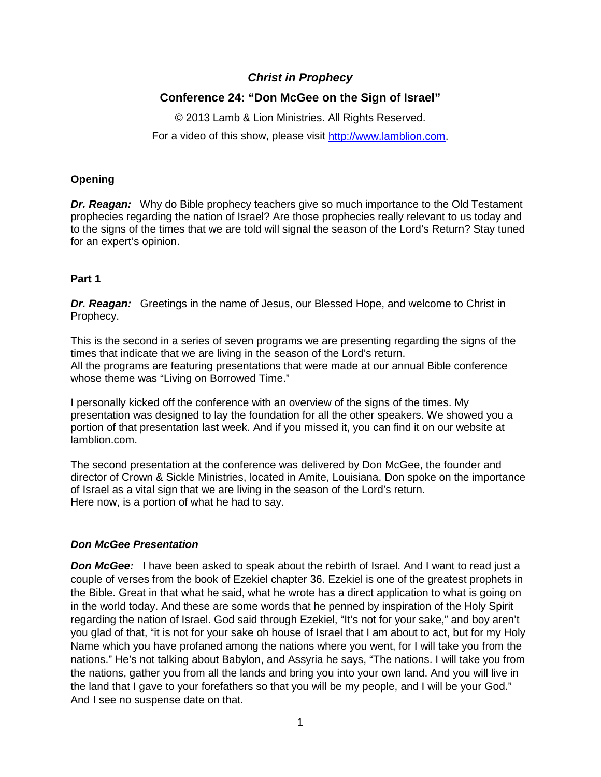# *Christ in Prophecy*

# **Conference 24: "Don McGee on the Sign of Israel"**

© 2013 Lamb & Lion Ministries. All Rights Reserved. For a video of this show, please visit [http://www.lamblion.com.](http://www.lamblion.com/)

## **Opening**

*Dr. Reagan:* Why do Bible prophecy teachers give so much importance to the Old Testament prophecies regarding the nation of Israel? Are those prophecies really relevant to us today and to the signs of the times that we are told will signal the season of the Lord's Return? Stay tuned for an expert's opinion.

## **Part 1**

**Dr. Reagan:** Greetings in the name of Jesus, our Blessed Hope, and welcome to Christ in Prophecy.

This is the second in a series of seven programs we are presenting regarding the signs of the times that indicate that we are living in the season of the Lord's return. All the programs are featuring presentations that were made at our annual Bible conference whose theme was "Living on Borrowed Time."

I personally kicked off the conference with an overview of the signs of the times. My presentation was designed to lay the foundation for all the other speakers. We showed you a portion of that presentation last week. And if you missed it, you can find it on our website at lamblion.com.

The second presentation at the conference was delivered by Don McGee, the founder and director of Crown & Sickle Ministries, located in Amite, Louisiana. Don spoke on the importance of Israel as a vital sign that we are living in the season of the Lord's return. Here now, is a portion of what he had to say.

## *Don McGee Presentation*

**Don McGee:** I have been asked to speak about the rebirth of Israel. And I want to read just a couple of verses from the book of Ezekiel chapter 36. Ezekiel is one of the greatest prophets in the Bible. Great in that what he said, what he wrote has a direct application to what is going on in the world today. And these are some words that he penned by inspiration of the Holy Spirit regarding the nation of Israel. God said through Ezekiel, "It's not for your sake," and boy aren't you glad of that, "it is not for your sake oh house of Israel that I am about to act, but for my Holy Name which you have profaned among the nations where you went, for I will take you from the nations." He's not talking about Babylon, and Assyria he says, "The nations. I will take you from the nations, gather you from all the lands and bring you into your own land. And you will live in the land that I gave to your forefathers so that you will be my people, and I will be your God." And I see no suspense date on that.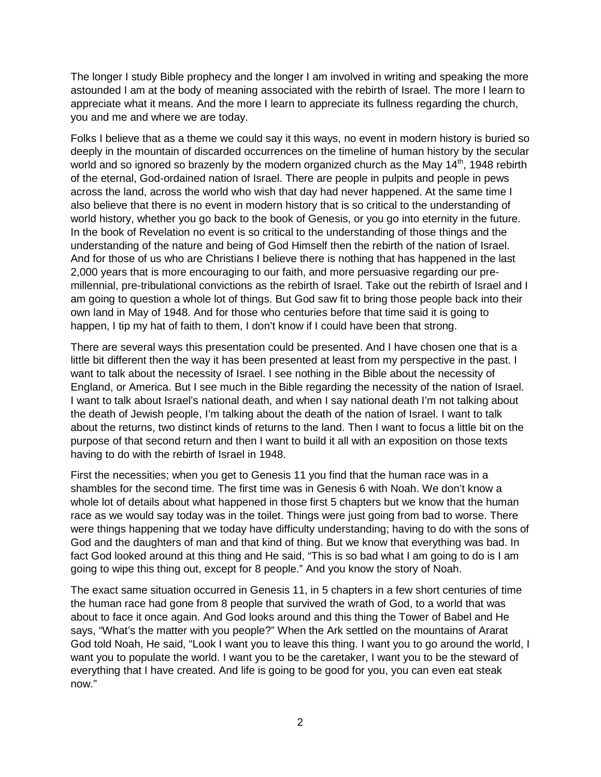The longer I study Bible prophecy and the longer I am involved in writing and speaking the more astounded I am at the body of meaning associated with the rebirth of Israel. The more I learn to appreciate what it means. And the more I learn to appreciate its fullness regarding the church, you and me and where we are today.

Folks I believe that as a theme we could say it this ways, no event in modern history is buried so deeply in the mountain of discarded occurrences on the timeline of human history by the secular world and so ignored so brazenly by the modern organized church as the May  $14<sup>th</sup>$ , 1948 rebirth of the eternal, God-ordained nation of Israel. There are people in pulpits and people in pews across the land, across the world who wish that day had never happened. At the same time I also believe that there is no event in modern history that is so critical to the understanding of world history, whether you go back to the book of Genesis, or you go into eternity in the future. In the book of Revelation no event is so critical to the understanding of those things and the understanding of the nature and being of God Himself then the rebirth of the nation of Israel. And for those of us who are Christians I believe there is nothing that has happened in the last 2,000 years that is more encouraging to our faith, and more persuasive regarding our premillennial, pre-tribulational convictions as the rebirth of Israel. Take out the rebirth of Israel and I am going to question a whole lot of things. But God saw fit to bring those people back into their own land in May of 1948. And for those who centuries before that time said it is going to happen, I tip my hat of faith to them, I don't know if I could have been that strong.

There are several ways this presentation could be presented. And I have chosen one that is a little bit different then the way it has been presented at least from my perspective in the past. I want to talk about the necessity of Israel. I see nothing in the Bible about the necessity of England, or America. But I see much in the Bible regarding the necessity of the nation of Israel. I want to talk about Israel's national death, and when I say national death I'm not talking about the death of Jewish people, I'm talking about the death of the nation of Israel. I want to talk about the returns, two distinct kinds of returns to the land. Then I want to focus a little bit on the purpose of that second return and then I want to build it all with an exposition on those texts having to do with the rebirth of Israel in 1948.

First the necessities; when you get to Genesis 11 you find that the human race was in a shambles for the second time. The first time was in Genesis 6 with Noah. We don't know a whole lot of details about what happened in those first 5 chapters but we know that the human race as we would say today was in the toilet. Things were just going from bad to worse. There were things happening that we today have difficulty understanding; having to do with the sons of God and the daughters of man and that kind of thing. But we know that everything was bad. In fact God looked around at this thing and He said, "This is so bad what I am going to do is I am going to wipe this thing out, except for 8 people." And you know the story of Noah.

The exact same situation occurred in Genesis 11, in 5 chapters in a few short centuries of time the human race had gone from 8 people that survived the wrath of God, to a world that was about to face it once again. And God looks around and this thing the Tower of Babel and He says, "What's the matter with you people?" When the Ark settled on the mountains of Ararat God told Noah, He said, "Look I want you to leave this thing. I want you to go around the world, I want you to populate the world. I want you to be the caretaker, I want you to be the steward of everything that I have created. And life is going to be good for you, you can even eat steak now."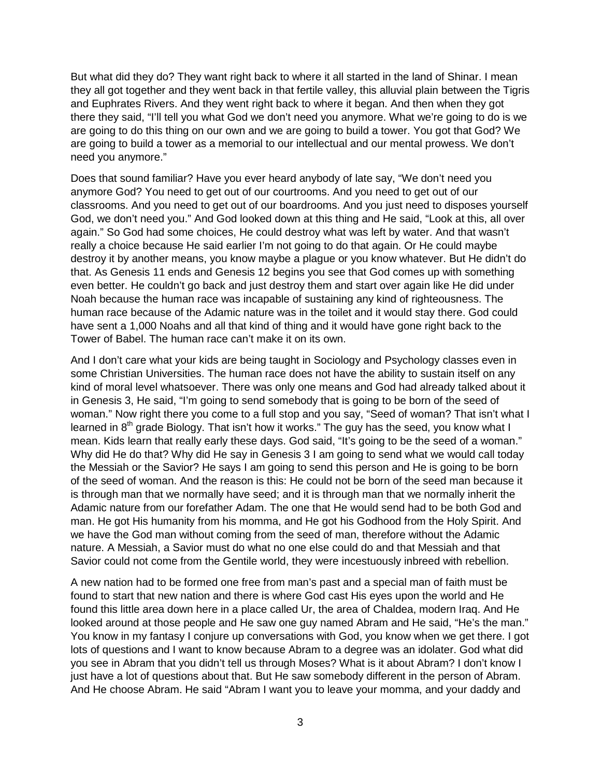But what did they do? They want right back to where it all started in the land of Shinar. I mean they all got together and they went back in that fertile valley, this alluvial plain between the Tigris and Euphrates Rivers. And they went right back to where it began. And then when they got there they said, "I'll tell you what God we don't need you anymore. What we're going to do is we are going to do this thing on our own and we are going to build a tower. You got that God? We are going to build a tower as a memorial to our intellectual and our mental prowess. We don't need you anymore."

Does that sound familiar? Have you ever heard anybody of late say, "We don't need you anymore God? You need to get out of our courtrooms. And you need to get out of our classrooms. And you need to get out of our boardrooms. And you just need to disposes yourself God, we don't need you." And God looked down at this thing and He said, "Look at this, all over again." So God had some choices, He could destroy what was left by water. And that wasn't really a choice because He said earlier I'm not going to do that again. Or He could maybe destroy it by another means, you know maybe a plague or you know whatever. But He didn't do that. As Genesis 11 ends and Genesis 12 begins you see that God comes up with something even better. He couldn't go back and just destroy them and start over again like He did under Noah because the human race was incapable of sustaining any kind of righteousness. The human race because of the Adamic nature was in the toilet and it would stay there. God could have sent a 1,000 Noahs and all that kind of thing and it would have gone right back to the Tower of Babel. The human race can't make it on its own.

And I don't care what your kids are being taught in Sociology and Psychology classes even in some Christian Universities. The human race does not have the ability to sustain itself on any kind of moral level whatsoever. There was only one means and God had already talked about it in Genesis 3, He said, "I'm going to send somebody that is going to be born of the seed of woman." Now right there you come to a full stop and you say, "Seed of woman? That isn't what I learned in  $8<sup>th</sup>$  grade Biology. That isn't how it works." The guy has the seed, you know what I mean. Kids learn that really early these days. God said, "It's going to be the seed of a woman." Why did He do that? Why did He say in Genesis 3 I am going to send what we would call today the Messiah or the Savior? He says I am going to send this person and He is going to be born of the seed of woman. And the reason is this: He could not be born of the seed man because it is through man that we normally have seed; and it is through man that we normally inherit the Adamic nature from our forefather Adam. The one that He would send had to be both God and man. He got His humanity from his momma, and He got his Godhood from the Holy Spirit. And we have the God man without coming from the seed of man, therefore without the Adamic nature. A Messiah, a Savior must do what no one else could do and that Messiah and that Savior could not come from the Gentile world, they were incestuously inbreed with rebellion.

A new nation had to be formed one free from man's past and a special man of faith must be found to start that new nation and there is where God cast His eyes upon the world and He found this little area down here in a place called Ur, the area of Chaldea, modern Iraq. And He looked around at those people and He saw one guy named Abram and He said, "He's the man." You know in my fantasy I conjure up conversations with God, you know when we get there. I got lots of questions and I want to know because Abram to a degree was an idolater. God what did you see in Abram that you didn't tell us through Moses? What is it about Abram? I don't know I just have a lot of questions about that. But He saw somebody different in the person of Abram. And He choose Abram. He said "Abram I want you to leave your momma, and your daddy and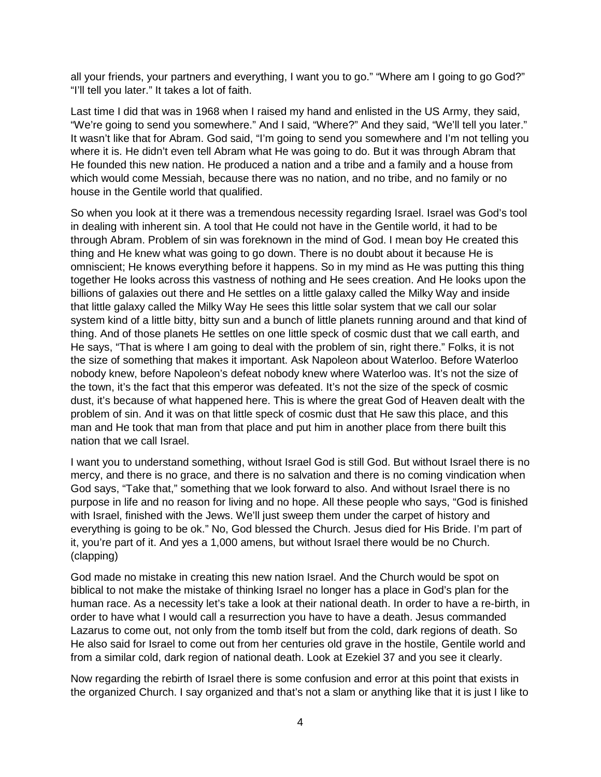all your friends, your partners and everything, I want you to go." "Where am I going to go God?" "I'll tell you later." It takes a lot of faith.

Last time I did that was in 1968 when I raised my hand and enlisted in the US Army, they said, "We're going to send you somewhere." And I said, "Where?" And they said, "We'll tell you later." It wasn't like that for Abram. God said, "I'm going to send you somewhere and I'm not telling you where it is. He didn't even tell Abram what He was going to do. But it was through Abram that He founded this new nation. He produced a nation and a tribe and a family and a house from which would come Messiah, because there was no nation, and no tribe, and no family or no house in the Gentile world that qualified.

So when you look at it there was a tremendous necessity regarding Israel. Israel was God's tool in dealing with inherent sin. A tool that He could not have in the Gentile world, it had to be through Abram. Problem of sin was foreknown in the mind of God. I mean boy He created this thing and He knew what was going to go down. There is no doubt about it because He is omniscient; He knows everything before it happens. So in my mind as He was putting this thing together He looks across this vastness of nothing and He sees creation. And He looks upon the billions of galaxies out there and He settles on a little galaxy called the Milky Way and inside that little galaxy called the Milky Way He sees this little solar system that we call our solar system kind of a little bitty, bitty sun and a bunch of little planets running around and that kind of thing. And of those planets He settles on one little speck of cosmic dust that we call earth, and He says, "That is where I am going to deal with the problem of sin, right there." Folks, it is not the size of something that makes it important. Ask Napoleon about Waterloo. Before Waterloo nobody knew, before Napoleon's defeat nobody knew where Waterloo was. It's not the size of the town, it's the fact that this emperor was defeated. It's not the size of the speck of cosmic dust, it's because of what happened here. This is where the great God of Heaven dealt with the problem of sin. And it was on that little speck of cosmic dust that He saw this place, and this man and He took that man from that place and put him in another place from there built this nation that we call Israel.

I want you to understand something, without Israel God is still God. But without Israel there is no mercy, and there is no grace, and there is no salvation and there is no coming vindication when God says, "Take that," something that we look forward to also. And without Israel there is no purpose in life and no reason for living and no hope. All these people who says, "God is finished with Israel, finished with the Jews. We'll just sweep them under the carpet of history and everything is going to be ok." No, God blessed the Church. Jesus died for His Bride. I'm part of it, you're part of it. And yes a 1,000 amens, but without Israel there would be no Church. (clapping)

God made no mistake in creating this new nation Israel. And the Church would be spot on biblical to not make the mistake of thinking Israel no longer has a place in God's plan for the human race. As a necessity let's take a look at their national death. In order to have a re-birth, in order to have what I would call a resurrection you have to have a death. Jesus commanded Lazarus to come out, not only from the tomb itself but from the cold, dark regions of death. So He also said for Israel to come out from her centuries old grave in the hostile, Gentile world and from a similar cold, dark region of national death. Look at Ezekiel 37 and you see it clearly.

Now regarding the rebirth of Israel there is some confusion and error at this point that exists in the organized Church. I say organized and that's not a slam or anything like that it is just I like to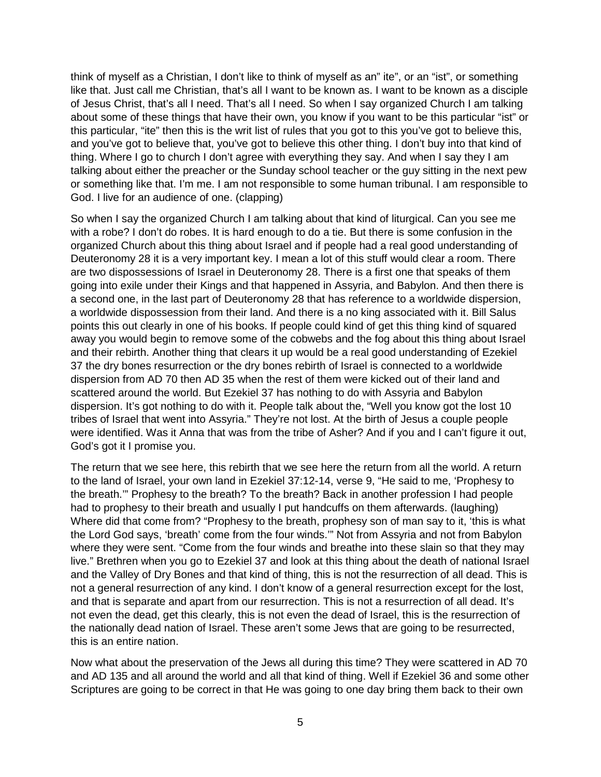think of myself as a Christian, I don't like to think of myself as an" ite", or an "ist", or something like that. Just call me Christian, that's all I want to be known as. I want to be known as a disciple of Jesus Christ, that's all I need. That's all I need. So when I say organized Church I am talking about some of these things that have their own, you know if you want to be this particular "ist" or this particular, "ite" then this is the writ list of rules that you got to this you've got to believe this, and you've got to believe that, you've got to believe this other thing. I don't buy into that kind of thing. Where I go to church I don't agree with everything they say. And when I say they I am talking about either the preacher or the Sunday school teacher or the guy sitting in the next pew or something like that. I'm me. I am not responsible to some human tribunal. I am responsible to God. I live for an audience of one. (clapping)

So when I say the organized Church I am talking about that kind of liturgical. Can you see me with a robe? I don't do robes. It is hard enough to do a tie. But there is some confusion in the organized Church about this thing about Israel and if people had a real good understanding of Deuteronomy 28 it is a very important key. I mean a lot of this stuff would clear a room. There are two dispossessions of Israel in Deuteronomy 28. There is a first one that speaks of them going into exile under their Kings and that happened in Assyria, and Babylon. And then there is a second one, in the last part of Deuteronomy 28 that has reference to a worldwide dispersion, a worldwide dispossession from their land. And there is a no king associated with it. Bill Salus points this out clearly in one of his books. If people could kind of get this thing kind of squared away you would begin to remove some of the cobwebs and the fog about this thing about Israel and their rebirth. Another thing that clears it up would be a real good understanding of Ezekiel 37 the dry bones resurrection or the dry bones rebirth of Israel is connected to a worldwide dispersion from AD 70 then AD 35 when the rest of them were kicked out of their land and scattered around the world. But Ezekiel 37 has nothing to do with Assyria and Babylon dispersion. It's got nothing to do with it. People talk about the, "Well you know got the lost 10 tribes of Israel that went into Assyria." They're not lost. At the birth of Jesus a couple people were identified. Was it Anna that was from the tribe of Asher? And if you and I can't figure it out, God's got it I promise you.

The return that we see here, this rebirth that we see here the return from all the world. A return to the land of Israel, your own land in Ezekiel 37:12-14, verse 9, "He said to me, 'Prophesy to the breath.'" Prophesy to the breath? To the breath? Back in another profession I had people had to prophesy to their breath and usually I put handcuffs on them afterwards. (laughing) Where did that come from? "Prophesy to the breath, prophesy son of man say to it, 'this is what the Lord God says, 'breath' come from the four winds.'" Not from Assyria and not from Babylon where they were sent. "Come from the four winds and breathe into these slain so that they may live." Brethren when you go to Ezekiel 37 and look at this thing about the death of national Israel and the Valley of Dry Bones and that kind of thing, this is not the resurrection of all dead. This is not a general resurrection of any kind. I don't know of a general resurrection except for the lost, and that is separate and apart from our resurrection. This is not a resurrection of all dead. It's not even the dead, get this clearly, this is not even the dead of Israel, this is the resurrection of the nationally dead nation of Israel. These aren't some Jews that are going to be resurrected, this is an entire nation.

Now what about the preservation of the Jews all during this time? They were scattered in AD 70 and AD 135 and all around the world and all that kind of thing. Well if Ezekiel 36 and some other Scriptures are going to be correct in that He was going to one day bring them back to their own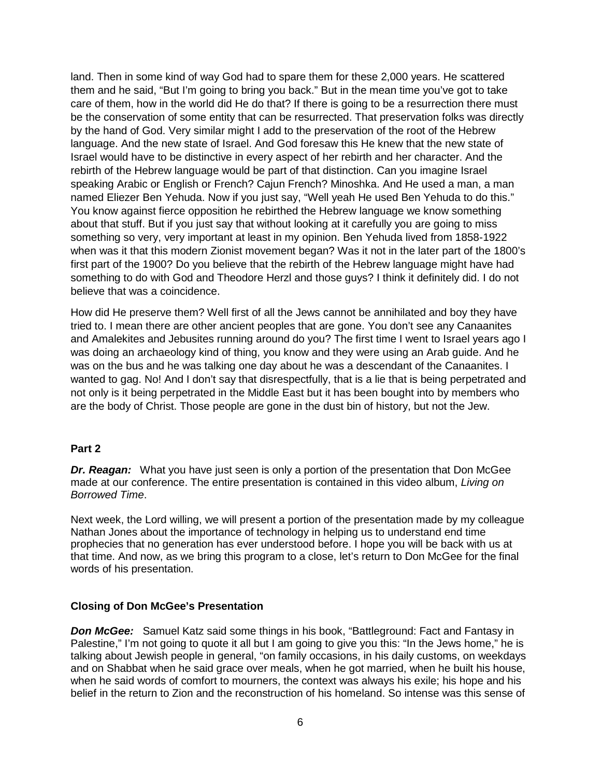land. Then in some kind of way God had to spare them for these 2,000 years. He scattered them and he said, "But I'm going to bring you back." But in the mean time you've got to take care of them, how in the world did He do that? If there is going to be a resurrection there must be the conservation of some entity that can be resurrected. That preservation folks was directly by the hand of God. Very similar might I add to the preservation of the root of the Hebrew language. And the new state of Israel. And God foresaw this He knew that the new state of Israel would have to be distinctive in every aspect of her rebirth and her character. And the rebirth of the Hebrew language would be part of that distinction. Can you imagine Israel speaking Arabic or English or French? Cajun French? Minoshka. And He used a man, a man named Eliezer Ben Yehuda. Now if you just say, "Well yeah He used Ben Yehuda to do this." You know against fierce opposition he rebirthed the Hebrew language we know something about that stuff. But if you just say that without looking at it carefully you are going to miss something so very, very important at least in my opinion. Ben Yehuda lived from 1858-1922 when was it that this modern Zionist movement began? Was it not in the later part of the 1800's first part of the 1900? Do you believe that the rebirth of the Hebrew language might have had something to do with God and Theodore Herzl and those guys? I think it definitely did. I do not believe that was a coincidence.

How did He preserve them? Well first of all the Jews cannot be annihilated and boy they have tried to. I mean there are other ancient peoples that are gone. You don't see any Canaanites and Amalekites and Jebusites running around do you? The first time I went to Israel years ago I was doing an archaeology kind of thing, you know and they were using an Arab guide. And he was on the bus and he was talking one day about he was a descendant of the Canaanites. I wanted to gag. No! And I don't say that disrespectfully, that is a lie that is being perpetrated and not only is it being perpetrated in the Middle East but it has been bought into by members who are the body of Christ. Those people are gone in the dust bin of history, but not the Jew.

#### **Part 2**

*Dr. Reagan:* What you have just seen is only a portion of the presentation that Don McGee made at our conference. The entire presentation is contained in this video album, *Living on Borrowed Time*.

Next week, the Lord willing, we will present a portion of the presentation made by my colleague Nathan Jones about the importance of technology in helping us to understand end time prophecies that no generation has ever understood before. I hope you will be back with us at that time. And now, as we bring this program to a close, let's return to Don McGee for the final words of his presentation.

#### **Closing of Don McGee's Presentation**

**Don McGee:** Samuel Katz said some things in his book, "Battleground: Fact and Fantasy in Palestine," I'm not going to quote it all but I am going to give you this: "In the Jews home," he is talking about Jewish people in general, "on family occasions, in his daily customs, on weekdays and on Shabbat when he said grace over meals, when he got married, when he built his house, when he said words of comfort to mourners, the context was always his exile; his hope and his belief in the return to Zion and the reconstruction of his homeland. So intense was this sense of